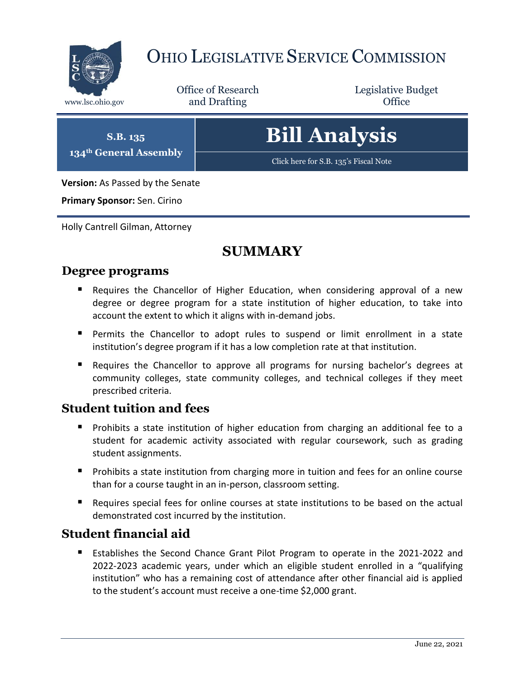

# OHIO LEGISLATIVE SERVICE COMMISSION

Office of Research www.lsc.ohio.gov **and Drafting Office** 

Legislative Budget

**S.B. 135 134th General Assembly**

# **Bill Analysis**

[Click here for S.B. 135](https://www.legislature.ohio.gov/legislation/legislation-documents?id=GA134-SB-135)'s Fiscal Note

**Version:** As Passed by the Senate

**Primary Sponsor:** Sen. Cirino

Holly Cantrell Gilman, Attorney

# **SUMMARY**

### **Degree programs**

- Requires the Chancellor of Higher Education, when considering approval of a new degree or degree program for a state institution of higher education, to take into account the extent to which it aligns with in-demand jobs.
- Permits the Chancellor to adopt rules to suspend or limit enrollment in a state institution's degree program if it has a low completion rate at that institution.
- Requires the Chancellor to approve all programs for nursing bachelor's degrees at community colleges, state community colleges, and technical colleges if they meet prescribed criteria.

### **Student tuition and fees**

- **Prohibits a state institution of higher education from charging an additional fee to a** student for academic activity associated with regular coursework, such as grading student assignments.
- **Prohibits a state institution from charging more in tuition and fees for an online course** than for a course taught in an in-person, classroom setting.
- Requires special fees for online courses at state institutions to be based on the actual demonstrated cost incurred by the institution.

### **Student financial aid**

 Establishes the Second Chance Grant Pilot Program to operate in the 2021-2022 and 2022-2023 academic years, under which an eligible student enrolled in a "qualifying institution" who has a remaining cost of attendance after other financial aid is applied to the student's account must receive a one-time \$2,000 grant.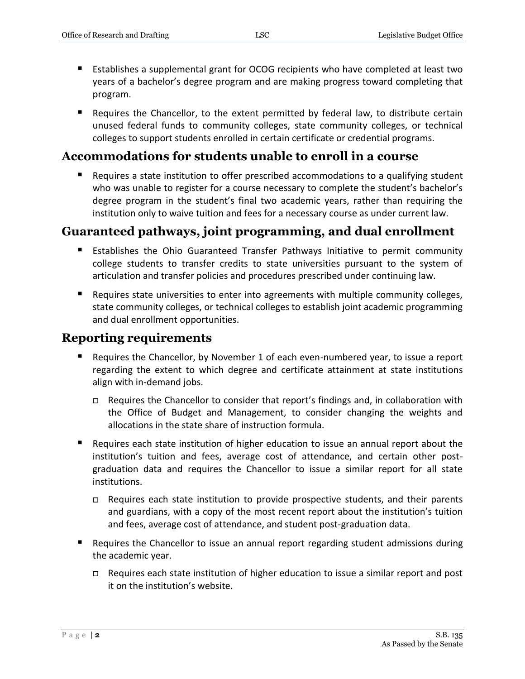- Establishes a supplemental grant for OCOG recipients who have completed at least two years of a bachelor's degree program and are making progress toward completing that program.
- Requires the Chancellor, to the extent permitted by federal law, to distribute certain unused federal funds to community colleges, state community colleges, or technical colleges to support students enrolled in certain certificate or credential programs.

### **Accommodations for students unable to enroll in a course**

■ Requires a state institution to offer prescribed accommodations to a qualifying student who was unable to register for a course necessary to complete the student's bachelor's degree program in the student's final two academic years, rather than requiring the institution only to waive tuition and fees for a necessary course as under current law.

### **Guaranteed pathways, joint programming, and dual enrollment**

- Establishes the Ohio Guaranteed Transfer Pathways Initiative to permit community college students to transfer credits to state universities pursuant to the system of articulation and transfer policies and procedures prescribed under continuing law.
- **Requires state universities to enter into agreements with multiple community colleges,** state community colleges, or technical colleges to establish joint academic programming and dual enrollment opportunities.

### **Reporting requirements**

- Requires the Chancellor, by November 1 of each even-numbered year, to issue a report regarding the extent to which degree and certificate attainment at state institutions align with in-demand jobs.
	- $\Box$  Requires the Chancellor to consider that report's findings and, in collaboration with the Office of Budget and Management, to consider changing the weights and allocations in the state share of instruction formula.
- Requires each state institution of higher education to issue an annual report about the institution's tuition and fees, average cost of attendance, and certain other postgraduation data and requires the Chancellor to issue a similar report for all state institutions.
	- $\Box$  Requires each state institution to provide prospective students, and their parents and guardians, with a copy of the most recent report about the institution's tuition and fees, average cost of attendance, and student post-graduation data.
- Requires the Chancellor to issue an annual report regarding student admissions during the academic year.
	- Requires each state institution of higher education to issue a similar report and post it on the institution's website.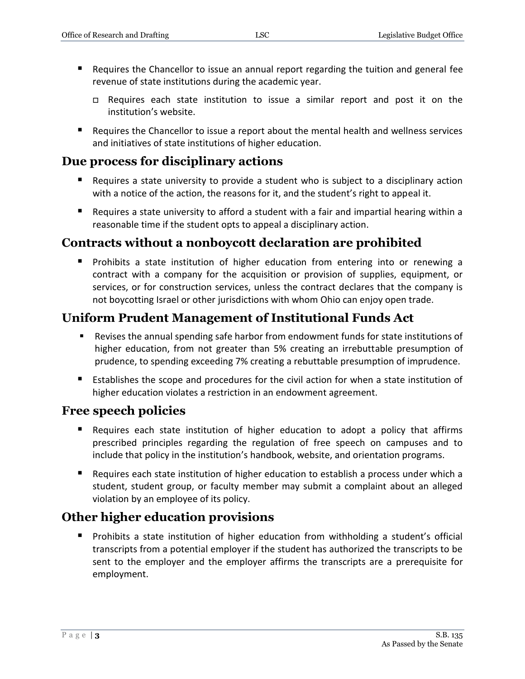- **Requires the Chancellor to issue an annual report regarding the tuition and general fee** revenue of state institutions during the academic year.
	- $\Box$  Requires each state institution to issue a similar report and post it on the institution's website.
- Requires the Chancellor to issue a report about the mental health and wellness services and initiatives of state institutions of higher education.

### **Due process for disciplinary actions**

- Requires a state university to provide a student who is subject to a disciplinary action with a notice of the action, the reasons for it, and the student's right to appeal it.
- Requires a state university to afford a student with a fair and impartial hearing within a reasonable time if the student opts to appeal a disciplinary action.

### **Contracts without a nonboycott declaration are prohibited**

**Prohibits a state institution of higher education from entering into or renewing a** contract with a company for the acquisition or provision of supplies, equipment, or services, or for construction services, unless the contract declares that the company is not boycotting Israel or other jurisdictions with whom Ohio can enjoy open trade.

### **Uniform Prudent Management of Institutional Funds Act**

- Revises the annual spending safe harbor from endowment funds for state institutions of higher education, from not greater than 5% creating an irrebuttable presumption of prudence, to spending exceeding 7% creating a rebuttable presumption of imprudence.
- Establishes the scope and procedures for the civil action for when a state institution of higher education violates a restriction in an endowment agreement.

### **Free speech policies**

- Requires each state institution of higher education to adopt a policy that affirms prescribed principles regarding the regulation of free speech on campuses and to include that policy in the institution's handbook, website, and orientation programs.
- **Requires each state institution of higher education to establish a process under which a** student, student group, or faculty member may submit a complaint about an alleged violation by an employee of its policy.

# **Other higher education provisions**

 Prohibits a state institution of higher education from withholding a student's official transcripts from a potential employer if the student has authorized the transcripts to be sent to the employer and the employer affirms the transcripts are a prerequisite for employment.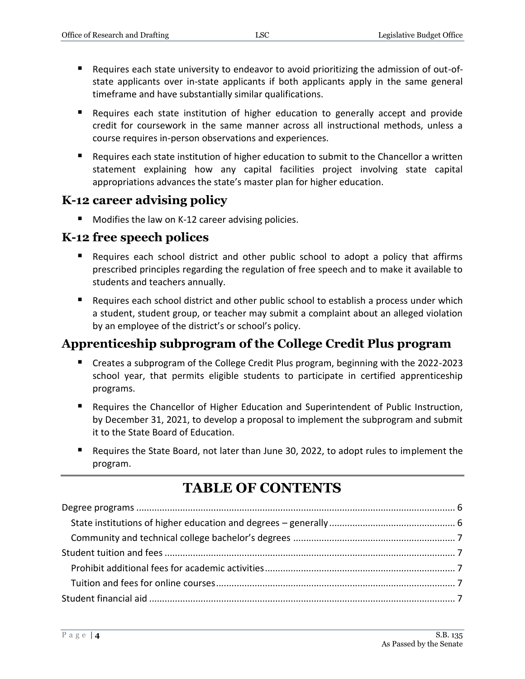- Requires each state university to endeavor to avoid prioritizing the admission of out-ofstate applicants over in-state applicants if both applicants apply in the same general timeframe and have substantially similar qualifications.
- **Requires each state institution of higher education to generally accept and provide** credit for coursework in the same manner across all instructional methods, unless a course requires in-person observations and experiences.
- Requires each state institution of higher education to submit to the Chancellor a written statement explaining how any capital facilities project involving state capital appropriations advances the state's master plan for higher education.

# **K-12 career advising policy**

■ Modifies the law on K-12 career advising policies.

### **K-12 free speech polices**

- Requires each school district and other public school to adopt a policy that affirms prescribed principles regarding the regulation of free speech and to make it available to students and teachers annually.
- Requires each school district and other public school to establish a process under which a student, student group, or teacher may submit a complaint about an alleged violation by an employee of the district's or school's policy.

# **Apprenticeship subprogram of the College Credit Plus program**

- Creates a subprogram of the College Credit Plus program, beginning with the 2022-2023 school year, that permits eligible students to participate in certified apprenticeship programs.
- Requires the Chancellor of Higher Education and Superintendent of Public Instruction, by December 31, 2021, to develop a proposal to implement the subprogram and submit it to the State Board of Education.
- Requires the State Board, not later than June 30, 2022, to adopt rules to implement the program.

# **TABLE OF CONTENTS**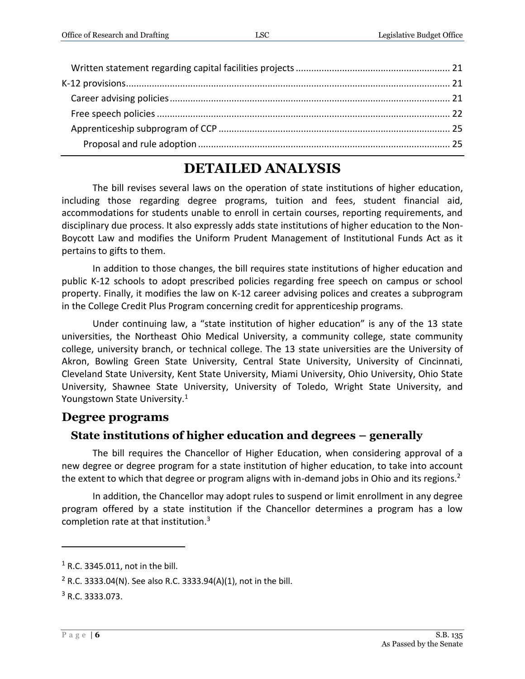# **DETAILED ANALYSIS**

The bill revises several laws on the operation of state institutions of higher education, including those regarding degree programs, tuition and fees, student financial aid, accommodations for students unable to enroll in certain courses, reporting requirements, and disciplinary due process. It also expressly adds state institutions of higher education to the Non-Boycott Law and modifies the Uniform Prudent Management of Institutional Funds Act as it pertains to gifts to them.

In addition to those changes, the bill requires state institutions of higher education and public K-12 schools to adopt prescribed policies regarding free speech on campus or school property. Finally, it modifies the law on K-12 career advising polices and creates a subprogram in the College Credit Plus Program concerning credit for apprenticeship programs.

Under continuing law, a "state institution of higher education" is any of the 13 state universities, the Northeast Ohio Medical University, a community college, state community college, university branch, or technical college. The 13 state universities are the University of Akron, Bowling Green State University, Central State University, University of Cincinnati, Cleveland State University, Kent State University, Miami University, Ohio University, Ohio State University, Shawnee State University, University of Toledo, Wright State University, and Youngstown State University.<sup>1</sup>

### <span id="page-5-0"></span>**Degree programs**

### <span id="page-5-1"></span>**State institutions of higher education and degrees – generally**

The bill requires the Chancellor of Higher Education, when considering approval of a new degree or degree program for a state institution of higher education, to take into account the extent to which that degree or program aligns with in-demand jobs in Ohio and its regions.<sup>2</sup>

In addition, the Chancellor may adopt rules to suspend or limit enrollment in any degree program offered by a state institution if the Chancellor determines a program has a low completion rate at that institution.<sup>3</sup>

 $1$  R.C. 3345.011, not in the bill.

<sup>&</sup>lt;sup>2</sup> R.C. 3333.04(N). See also R.C. 3333.94(A)(1), not in the bill.

<sup>3</sup> R.C. 3333.073.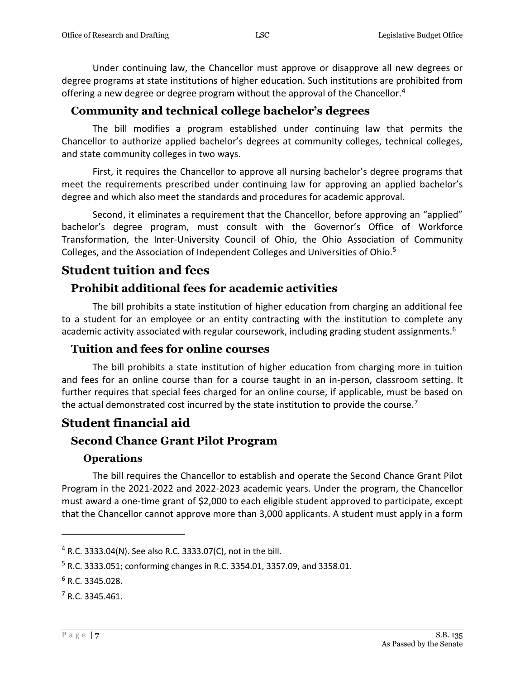Under continuing law, the Chancellor must approve or disapprove all new degrees or degree programs at state institutions of higher education. Such institutions are prohibited from offering a new degree or degree program without the approval of the Chancellor.<sup>4</sup>

### <span id="page-6-0"></span>**Community and technical college bachelor's degrees**

The bill modifies a program established under continuing law that permits the Chancellor to authorize applied bachelor's degrees at community colleges, technical colleges, and state community colleges in two ways.

First, it requires the Chancellor to approve all nursing bachelor's degree programs that meet the requirements prescribed under continuing law for approving an applied bachelor's degree and which also meet the standards and procedures for academic approval.

Second, it eliminates a requirement that the Chancellor, before approving an "applied" bachelor's degree program, must consult with the Governor's Office of Workforce Transformation, the Inter-University Council of Ohio, the Ohio Association of Community Colleges, and the Association of Independent Colleges and Universities of Ohio.<sup>5</sup>

### <span id="page-6-1"></span>**Student tuition and fees**

### <span id="page-6-2"></span>**Prohibit additional fees for academic activities**

The bill prohibits a state institution of higher education from charging an additional fee to a student for an employee or an entity contracting with the institution to complete any academic activity associated with regular coursework, including grading student assignments.<sup>6</sup>

### <span id="page-6-3"></span>**Tuition and fees for online courses**

The bill prohibits a state institution of higher education from charging more in tuition and fees for an online course than for a course taught in an in-person, classroom setting. It further requires that special fees charged for an online course, if applicable, must be based on the actual demonstrated cost incurred by the state institution to provide the course.<sup>7</sup>

### <span id="page-6-4"></span>**Student financial aid**

### <span id="page-6-5"></span>**Second Chance Grant Pilot Program**

### **Operations**

<span id="page-6-6"></span>The bill requires the Chancellor to establish and operate the Second Chance Grant Pilot Program in the 2021-2022 and 2022-2023 academic years. Under the program, the Chancellor must award a one-time grant of \$2,000 to each eligible student approved to participate, except that the Chancellor cannot approve more than 3,000 applicants. A student must apply in a form

<sup>4</sup> R.C. 3333.04(N). See also R.C. 3333.07(C), not in the bill.

<sup>5</sup> R.C. 3333.051; conforming changes in R.C. 3354.01, 3357.09, and 3358.01.

 $6$  R.C. 3345.028.

<sup>7</sup> R.C. 3345.461.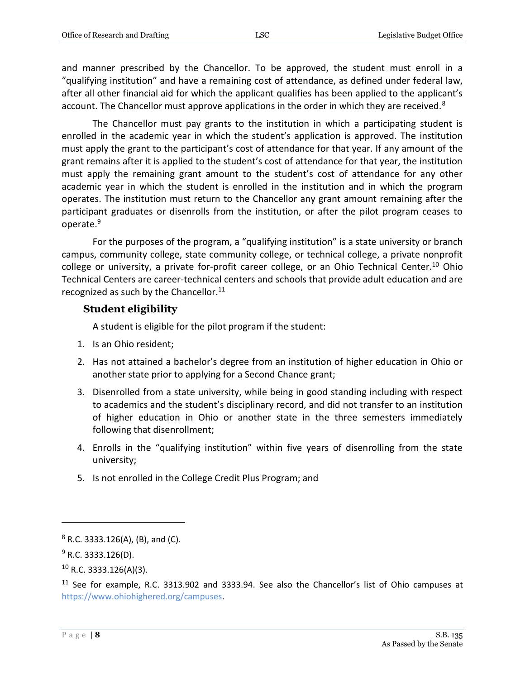and manner prescribed by the Chancellor. To be approved, the student must enroll in a "qualifying institution" and have a remaining cost of attendance, as defined under federal law, after all other financial aid for which the applicant qualifies has been applied to the applicant's account. The Chancellor must approve applications in the order in which they are received. $8$ 

The Chancellor must pay grants to the institution in which a participating student is enrolled in the academic year in which the student's application is approved. The institution must apply the grant to the participant's cost of attendance for that year. If any amount of the grant remains after it is applied to the student's cost of attendance for that year, the institution must apply the remaining grant amount to the student's cost of attendance for any other academic year in which the student is enrolled in the institution and in which the program operates. The institution must return to the Chancellor any grant amount remaining after the participant graduates or disenrolls from the institution, or after the pilot program ceases to operate.<sup>9</sup>

For the purposes of the program, a "qualifying institution" is a state university or branch campus, community college, state community college, or technical college, a private nonprofit college or university, a private for-profit career college, or an Ohio Technical Center.<sup>10</sup> Ohio Technical Centers are career-technical centers and schools that provide adult education and are recognized as such by the Chancellor. $11$ 

### <span id="page-7-0"></span>**Student eligibility**

A student is eligible for the pilot program if the student:

- 1. Is an Ohio resident;
- 2. Has not attained a bachelor's degree from an institution of higher education in Ohio or another state prior to applying for a Second Chance grant;
- 3. Disenrolled from a state university, while being in good standing including with respect to academics and the student's disciplinary record, and did not transfer to an institution of higher education in Ohio or another state in the three semesters immediately following that disenrollment;
- 4. Enrolls in the "qualifying institution" within five years of disenrolling from the state university;
- 5. Is not enrolled in the College Credit Plus Program; and

 $10$  R.C. 3333.126(A)(3).

 $8$  R.C. 3333.126(A), (B), and (C).

 $9$  R.C. 3333.126(D).

<sup>&</sup>lt;sup>11</sup> See for example, R.C. 3313.902 and 3333.94. See also the Chancellor's list of Ohio campuses at [https://www.ohiohighered.org/campuses.](https://www.ohiohighered.org/campuses)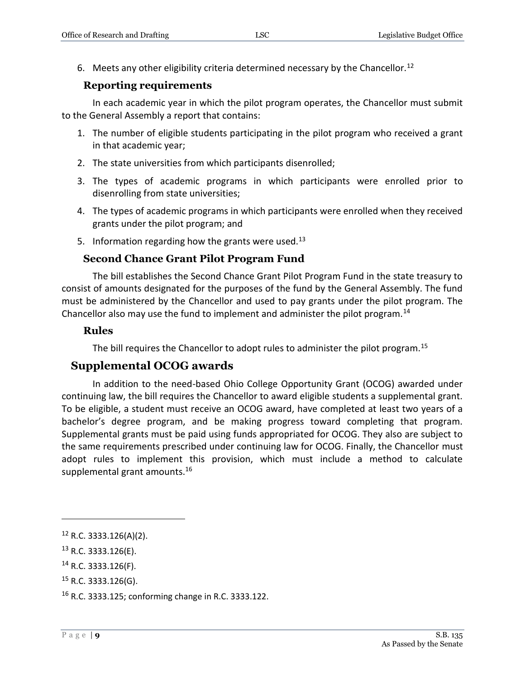6. Meets any other eligibility criteria determined necessary by the Chancellor.<sup>12</sup>

### **Reporting requirements**

<span id="page-8-0"></span>In each academic year in which the pilot program operates, the Chancellor must submit to the General Assembly a report that contains:

- 1. The number of eligible students participating in the pilot program who received a grant in that academic year;
- 2. The state universities from which participants disenrolled;
- 3. The types of academic programs in which participants were enrolled prior to disenrolling from state universities;
- 4. The types of academic programs in which participants were enrolled when they received grants under the pilot program; and
- 5. Information regarding how the grants were used.<sup>13</sup>

### **Second Chance Grant Pilot Program Fund**

<span id="page-8-1"></span>The bill establishes the Second Chance Grant Pilot Program Fund in the state treasury to consist of amounts designated for the purposes of the fund by the General Assembly. The fund must be administered by the Chancellor and used to pay grants under the pilot program. The Chancellor also may use the fund to implement and administer the pilot program.<sup>14</sup>

### <span id="page-8-2"></span>**Rules**

The bill requires the Chancellor to adopt rules to administer the pilot program.<sup>15</sup>

### <span id="page-8-3"></span>**Supplemental OCOG awards**

In addition to the need-based Ohio College Opportunity Grant (OCOG) awarded under continuing law, the bill requires the Chancellor to award eligible students a supplemental grant. To be eligible, a student must receive an OCOG award, have completed at least two years of a bachelor's degree program, and be making progress toward completing that program. Supplemental grants must be paid using funds appropriated for OCOG. They also are subject to the same requirements prescribed under continuing law for OCOG. Finally, the Chancellor must adopt rules to implement this provision, which must include a method to calculate supplemental grant amounts.<sup>16</sup>

<sup>12</sup> R.C. 3333.126(A)(2).

<sup>13</sup> R.C. 3333.126(E).

<sup>14</sup> R.C. 3333.126(F).

 $15$  R.C. 3333.126(G).

<sup>16</sup> R.C. 3333.125; conforming change in R.C. 3333.122.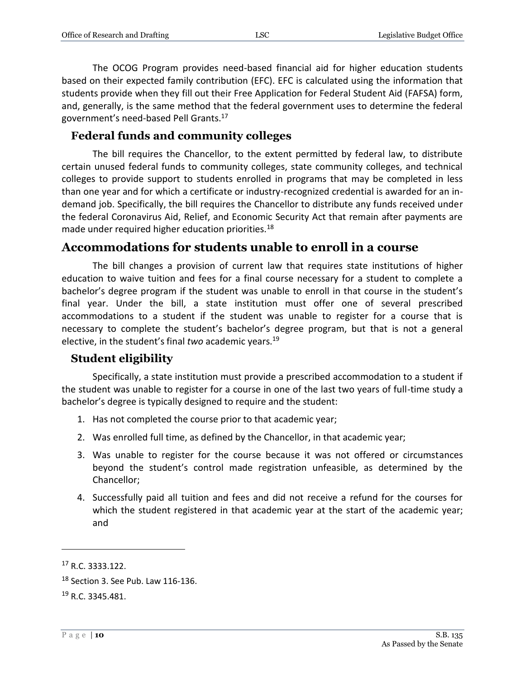The OCOG Program provides need-based financial aid for higher education students based on their expected family contribution (EFC). EFC is calculated using the information that students provide when they fill out their Free Application for Federal Student Aid (FAFSA) form, and, generally, is the same method that the federal government uses to determine the federal government's need-based Pell Grants.<sup>17</sup>

### <span id="page-9-0"></span>**Federal funds and community colleges**

The bill requires the Chancellor, to the extent permitted by federal law, to distribute certain unused federal funds to community colleges, state community colleges, and technical colleges to provide support to students enrolled in programs that may be completed in less than one year and for which a certificate or industry-recognized credential is awarded for an indemand job. Specifically, the bill requires the Chancellor to distribute any funds received under the federal Coronavirus Aid, Relief, and Economic Security Act that remain after payments are made under required higher education priorities.<sup>18</sup>

# <span id="page-9-1"></span>**Accommodations for students unable to enroll in a course**

The bill changes a provision of current law that requires state institutions of higher education to waive tuition and fees for a final course necessary for a student to complete a bachelor's degree program if the student was unable to enroll in that course in the student's final year. Under the bill, a state institution must offer one of several prescribed accommodations to a student if the student was unable to register for a course that is necessary to complete the student's bachelor's degree program, but that is not a general elective, in the student's final *two* academic years.<sup>19</sup>

### <span id="page-9-2"></span>**Student eligibility**

Specifically, a state institution must provide a prescribed accommodation to a student if the student was unable to register for a course in one of the last two years of full-time study a bachelor's degree is typically designed to require and the student:

- 1. Has not completed the course prior to that academic year;
- 2. Was enrolled full time, as defined by the Chancellor, in that academic year;
- 3. Was unable to register for the course because it was not offered or circumstances beyond the student's control made registration unfeasible, as determined by the Chancellor;
- 4. Successfully paid all tuition and fees and did not receive a refund for the courses for which the student registered in that academic year at the start of the academic year; and

<sup>17</sup> R.C. 3333.122.

<sup>18</sup> Section 3. See Pub. Law 116-136.

<sup>19</sup> R.C. 3345.481.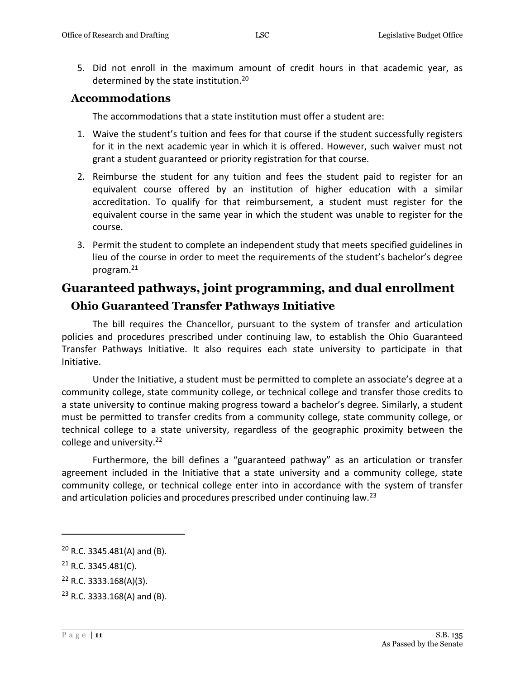5. Did not enroll in the maximum amount of credit hours in that academic year, as determined by the state institution.<sup>20</sup>

### <span id="page-10-0"></span>**Accommodations**

The accommodations that a state institution must offer a student are:

- 1. Waive the student's tuition and fees for that course if the student successfully registers for it in the next academic year in which it is offered. However, such waiver must not grant a student guaranteed or priority registration for that course.
- 2. Reimburse the student for any tuition and fees the student paid to register for an equivalent course offered by an institution of higher education with a similar accreditation. To qualify for that reimbursement, a student must register for the equivalent course in the same year in which the student was unable to register for the course.
- 3. Permit the student to complete an independent study that meets specified guidelines in lieu of the course in order to meet the requirements of the student's bachelor's degree program.<sup>21</sup>

# <span id="page-10-1"></span>**Guaranteed pathways, joint programming, and dual enrollment**

### <span id="page-10-2"></span>**Ohio Guaranteed Transfer Pathways Initiative**

The bill requires the Chancellor, pursuant to the system of transfer and articulation policies and procedures prescribed under continuing law, to establish the Ohio Guaranteed Transfer Pathways Initiative. It also requires each state university to participate in that Initiative.

Under the Initiative, a student must be permitted to complete an associate's degree at a community college, state community college, or technical college and transfer those credits to a state university to continue making progress toward a bachelor's degree. Similarly, a student must be permitted to transfer credits from a community college, state community college, or technical college to a state university, regardless of the geographic proximity between the college and university.<sup>22</sup>

Furthermore, the bill defines a "guaranteed pathway" as an articulation or transfer agreement included in the Initiative that a state university and a community college, state community college, or technical college enter into in accordance with the system of transfer and articulation policies and procedures prescribed under continuing law.<sup>23</sup>

 $20$  R.C. 3345.481(A) and (B).

<sup>21</sup> R.C. 3345.481(C).

 $22$  R.C. 3333.168(A)(3).

<sup>23</sup> R.C. 3333.168(A) and (B).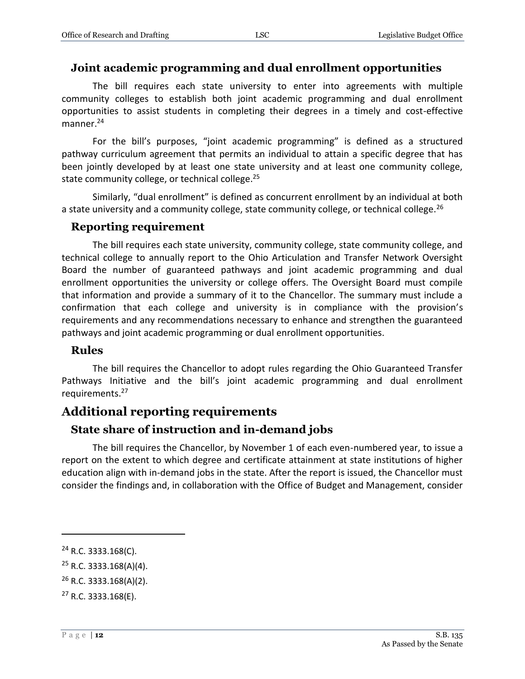### <span id="page-11-0"></span>**Joint academic programming and dual enrollment opportunities**

The bill requires each state university to enter into agreements with multiple community colleges to establish both joint academic programming and dual enrollment opportunities to assist students in completing their degrees in a timely and cost-effective manner.<sup>24</sup>

For the bill's purposes, "joint academic programming" is defined as a structured pathway curriculum agreement that permits an individual to attain a specific degree that has been jointly developed by at least one state university and at least one community college, state community college, or technical college.<sup>25</sup>

Similarly, "dual enrollment" is defined as concurrent enrollment by an individual at both a state university and a community college, state community college, or technical college.<sup>26</sup>

### <span id="page-11-1"></span>**Reporting requirement**

The bill requires each state university, community college, state community college, and technical college to annually report to the Ohio Articulation and Transfer Network Oversight Board the number of guaranteed pathways and joint academic programming and dual enrollment opportunities the university or college offers. The Oversight Board must compile that information and provide a summary of it to the Chancellor. The summary must include a confirmation that each college and university is in compliance with the provision's requirements and any recommendations necessary to enhance and strengthen the guaranteed pathways and joint academic programming or dual enrollment opportunities.

### <span id="page-11-2"></span>**Rules**

The bill requires the Chancellor to adopt rules regarding the Ohio Guaranteed Transfer Pathways Initiative and the bill's joint academic programming and dual enrollment requirements.<sup>27</sup>

### <span id="page-11-3"></span>**Additional reporting requirements**

### <span id="page-11-4"></span>**State share of instruction and in-demand jobs**

The bill requires the Chancellor, by November 1 of each even-numbered year, to issue a report on the extent to which degree and certificate attainment at state institutions of higher education align with in-demand jobs in the state. After the report is issued, the Chancellor must consider the findings and, in collaboration with the Office of Budget and Management, consider

<sup>24</sup> R.C. 3333.168(C).

 $25$  R.C. 3333.168(A)(4).

 $26$  R.C. 3333.168(A)(2).

<sup>27</sup> R.C. 3333.168(E).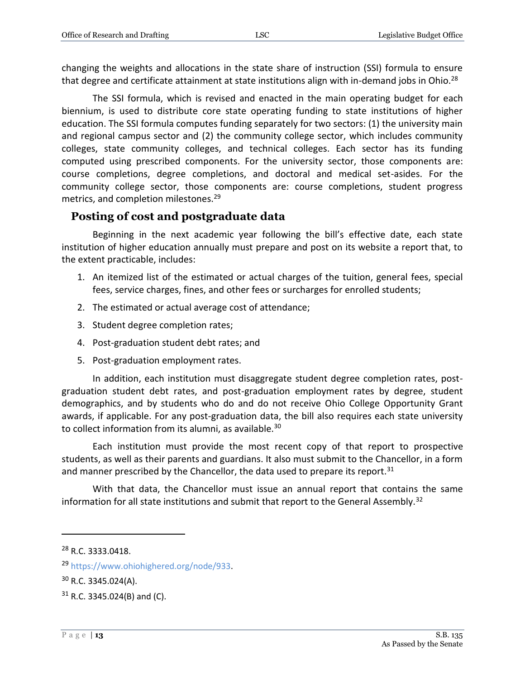changing the weights and allocations in the state share of instruction (SSI) formula to ensure that degree and certificate attainment at state institutions align with in-demand jobs in Ohio.<sup>28</sup>

The SSI formula, which is revised and enacted in the main operating budget for each biennium, is used to distribute core state operating funding to state institutions of higher education. The SSI formula computes funding separately for two sectors: (1) the university main and regional campus sector and (2) the community college sector, which includes community colleges, state community colleges, and technical colleges. Each sector has its funding computed using prescribed components. For the university sector, those components are: course completions, degree completions, and doctoral and medical set-asides. For the community college sector, those components are: course completions, student progress metrics, and completion milestones.<sup>29</sup>

### <span id="page-12-0"></span>**Posting of cost and postgraduate data**

Beginning in the next academic year following the bill's effective date, each state institution of higher education annually must prepare and post on its website a report that, to the extent practicable, includes:

- 1. An itemized list of the estimated or actual charges of the tuition, general fees, special fees, service charges, fines, and other fees or surcharges for enrolled students;
- 2. The estimated or actual average cost of attendance;
- 3. Student degree completion rates;
- 4. Post-graduation student debt rates; and
- 5. Post-graduation employment rates.

In addition, each institution must disaggregate student degree completion rates, postgraduation student debt rates, and post-graduation employment rates by degree, student demographics, and by students who do and do not receive Ohio College Opportunity Grant awards, if applicable. For any post-graduation data, the bill also requires each state university to collect information from its alumni, as available.<sup>30</sup>

Each institution must provide the most recent copy of that report to prospective students, as well as their parents and guardians. It also must submit to the Chancellor, in a form and manner prescribed by the Chancellor, the data used to prepare its report.<sup>31</sup>

With that data, the Chancellor must issue an annual report that contains the same information for all state institutions and submit that report to the General Assembly.<sup>32</sup>

<sup>28</sup> R.C. 3333.0418.

<sup>29</sup> [https://www.ohiohighered.org/node/933.](https://www.ohiohighered.org/node/933)

 $30$  R.C. 3345.024(A).

 $31$  R.C. 3345.024(B) and (C).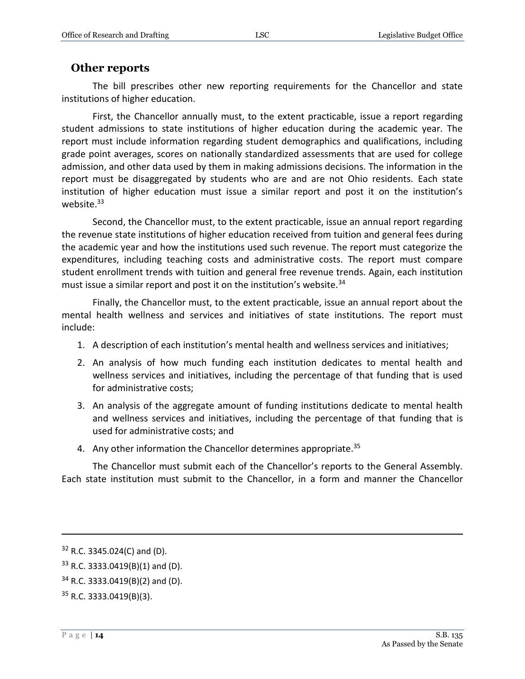### <span id="page-13-0"></span>**Other reports**

The bill prescribes other new reporting requirements for the Chancellor and state institutions of higher education.

First, the Chancellor annually must, to the extent practicable, issue a report regarding student admissions to state institutions of higher education during the academic year. The report must include information regarding student demographics and qualifications, including grade point averages, scores on nationally standardized assessments that are used for college admission, and other data used by them in making admissions decisions. The information in the report must be disaggregated by students who are and are not Ohio residents. Each state institution of higher education must issue a similar report and post it on the institution's website.<sup>33</sup>

Second, the Chancellor must, to the extent practicable, issue an annual report regarding the revenue state institutions of higher education received from tuition and general fees during the academic year and how the institutions used such revenue. The report must categorize the expenditures, including teaching costs and administrative costs. The report must compare student enrollment trends with tuition and general free revenue trends. Again, each institution must issue a similar report and post it on the institution's website.<sup>34</sup>

Finally, the Chancellor must, to the extent practicable, issue an annual report about the mental health wellness and services and initiatives of state institutions. The report must include:

- 1. A description of each institution's mental health and wellness services and initiatives;
- 2. An analysis of how much funding each institution dedicates to mental health and wellness services and initiatives, including the percentage of that funding that is used for administrative costs;
- 3. An analysis of the aggregate amount of funding institutions dedicate to mental health and wellness services and initiatives, including the percentage of that funding that is used for administrative costs; and
- 4. Any other information the Chancellor determines appropriate.<sup>35</sup>

The Chancellor must submit each of the Chancellor's reports to the General Assembly. Each state institution must submit to the Chancellor, in a form and manner the Chancellor

<sup>32</sup> R.C. 3345.024(C) and (D).

 $33$  R.C. 3333.0419(B)(1) and (D).

<sup>34</sup> R.C. 3333.0419(B)(2) and (D).

<sup>35</sup> R.C. 3333.0419(B)(3).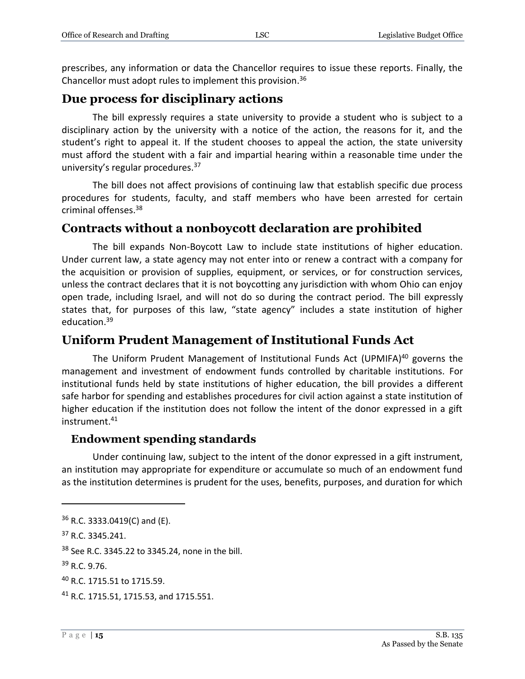prescribes, any information or data the Chancellor requires to issue these reports. Finally, the Chancellor must adopt rules to implement this provision.<sup>36</sup>

### <span id="page-14-0"></span>**Due process for disciplinary actions**

The bill expressly requires a state university to provide a student who is subject to a disciplinary action by the university with a notice of the action, the reasons for it, and the student's right to appeal it. If the student chooses to appeal the action, the state university must afford the student with a fair and impartial hearing within a reasonable time under the university's regular procedures.<sup>37</sup>

The bill does not affect provisions of continuing law that establish specific due process procedures for students, faculty, and staff members who have been arrested for certain criminal offenses.<sup>38</sup>

### <span id="page-14-1"></span>**Contracts without a nonboycott declaration are prohibited**

The bill expands Non-Boycott Law to include state institutions of higher education. Under current law, a state agency may not enter into or renew a contract with a company for the acquisition or provision of supplies, equipment, or services, or for construction services, unless the contract declares that it is not boycotting any jurisdiction with whom Ohio can enjoy open trade, including Israel, and will not do so during the contract period. The bill expressly states that, for purposes of this law, "state agency" includes a state institution of higher education.<sup>39</sup>

### <span id="page-14-2"></span>**Uniform Prudent Management of Institutional Funds Act**

The Uniform Prudent Management of Institutional Funds Act (UPMIFA) <sup>40</sup> governs the management and investment of endowment funds controlled by charitable institutions. For institutional funds held by state institutions of higher education, the bill provides a different safe harbor for spending and establishes procedures for civil action against a state institution of higher education if the institution does not follow the intent of the donor expressed in a gift instrument.<sup>41</sup>

### <span id="page-14-3"></span>**Endowment spending standards**

Under continuing law, subject to the intent of the donor expressed in a gift instrument, an institution may appropriate for expenditure or accumulate so much of an endowment fund as the institution determines is prudent for the uses, benefits, purposes, and duration for which

<sup>38</sup> See R.C. 3345.22 to 3345.24, none in the bill.

<sup>36</sup> R.C. 3333.0419(C) and (E).

<sup>37</sup> R.C. 3345.241.

<sup>39</sup> R.C. 9.76.

<sup>40</sup> R.C. 1715.51 to 1715.59.

<sup>&</sup>lt;sup>41</sup> R.C. 1715.51, 1715.53, and 1715.551.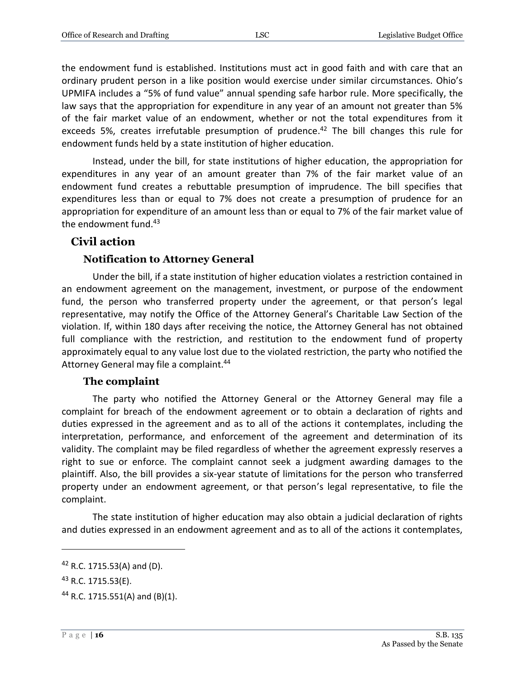the endowment fund is established. Institutions must act in good faith and with care that an ordinary prudent person in a like position would exercise under similar circumstances. Ohio's UPMIFA includes a "5% of fund value" annual spending safe harbor rule. More specifically, the law says that the appropriation for expenditure in any year of an amount not greater than 5% of the fair market value of an endowment, whether or not the total expenditures from it exceeds 5%, creates irrefutable presumption of prudence.<sup>42</sup> The bill changes this rule for endowment funds held by a state institution of higher education.

Instead, under the bill, for state institutions of higher education, the appropriation for expenditures in any year of an amount greater than 7% of the fair market value of an endowment fund creates a rebuttable presumption of imprudence. The bill specifies that expenditures less than or equal to 7% does not create a presumption of prudence for an appropriation for expenditure of an amount less than or equal to 7% of the fair market value of the endowment fund.<sup>43</sup>

### <span id="page-15-0"></span>**Civil action**

### **Notification to Attorney General**

<span id="page-15-1"></span>Under the bill, if a state institution of higher education violates a restriction contained in an endowment agreement on the management, investment, or purpose of the endowment fund, the person who transferred property under the agreement, or that person's legal representative, may notify the Office of the Attorney General's Charitable Law Section of the violation. If, within 180 days after receiving the notice, the Attorney General has not obtained full compliance with the restriction, and restitution to the endowment fund of property approximately equal to any value lost due to the violated restriction, the party who notified the Attorney General may file a complaint.<sup>44</sup>

### **The complaint**

<span id="page-15-2"></span>The party who notified the Attorney General or the Attorney General may file a complaint for breach of the endowment agreement or to obtain a declaration of rights and duties expressed in the agreement and as to all of the actions it contemplates, including the interpretation, performance, and enforcement of the agreement and determination of its validity. The complaint may be filed regardless of whether the agreement expressly reserves a right to sue or enforce. The complaint cannot seek a judgment awarding damages to the plaintiff. Also, the bill provides a six-year statute of limitations for the person who transferred property under an endowment agreement, or that person's legal representative, to file the complaint.

The state institution of higher education may also obtain a judicial declaration of rights and duties expressed in an endowment agreement and as to all of the actions it contemplates,

<sup>42</sup> R.C. 1715.53(A) and (D).

<sup>43</sup> R.C. 1715.53(E).

<sup>&</sup>lt;sup>44</sup> R.C. 1715.551(A) and (B)(1).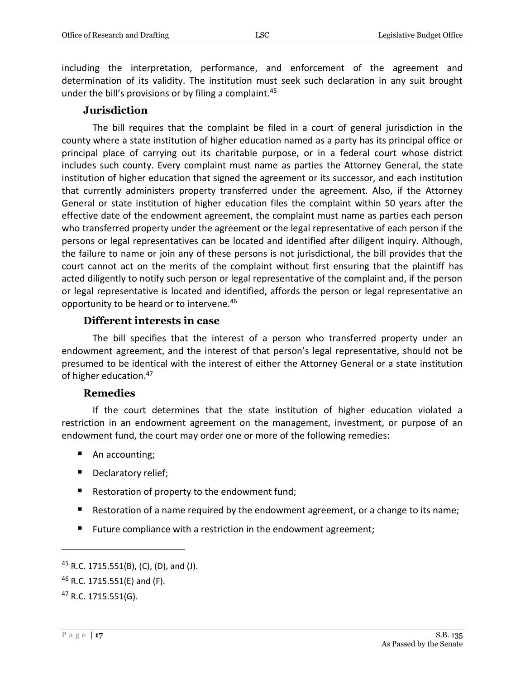including the interpretation, performance, and enforcement of the agreement and determination of its validity. The institution must seek such declaration in any suit brought under the bill's provisions or by filing a complaint.<sup>45</sup>

### **Jurisdiction**

<span id="page-16-0"></span>The bill requires that the complaint be filed in a court of general jurisdiction in the county where a state institution of higher education named as a party has its principal office or principal place of carrying out its charitable purpose, or in a federal court whose district includes such county. Every complaint must name as parties the Attorney General, the state institution of higher education that signed the agreement or its successor, and each institution that currently administers property transferred under the agreement. Also, if the Attorney General or state institution of higher education files the complaint within 50 years after the effective date of the endowment agreement, the complaint must name as parties each person who transferred property under the agreement or the legal representative of each person if the persons or legal representatives can be located and identified after diligent inquiry. Although, the failure to name or join any of these persons is not jurisdictional, the bill provides that the court cannot act on the merits of the complaint without first ensuring that the plaintiff has acted diligently to notify such person or legal representative of the complaint and, if the person or legal representative is located and identified, affords the person or legal representative an opportunity to be heard or to intervene.<sup>46</sup>

### **Different interests in case**

<span id="page-16-1"></span>The bill specifies that the interest of a person who transferred property under an endowment agreement, and the interest of that person's legal representative, should not be presumed to be identical with the interest of either the Attorney General or a state institution of higher education.<sup>47</sup>

### **Remedies**

<span id="page-16-2"></span>If the court determines that the state institution of higher education violated a restriction in an endowment agreement on the management, investment, or purpose of an endowment fund, the court may order one or more of the following remedies:

- An accounting;
- Declaratory relief;
- Restoration of property to the endowment fund;
- Restoration of a name required by the endowment agreement, or a change to its name;
- **Future compliance with a restriction in the endowment agreement;**

<sup>&</sup>lt;sup>45</sup> R.C. 1715.551(B), (C), (D), and (J).

<sup>46</sup> R.C. 1715.551(E) and (F).

<sup>47</sup> R.C. 1715.551(G).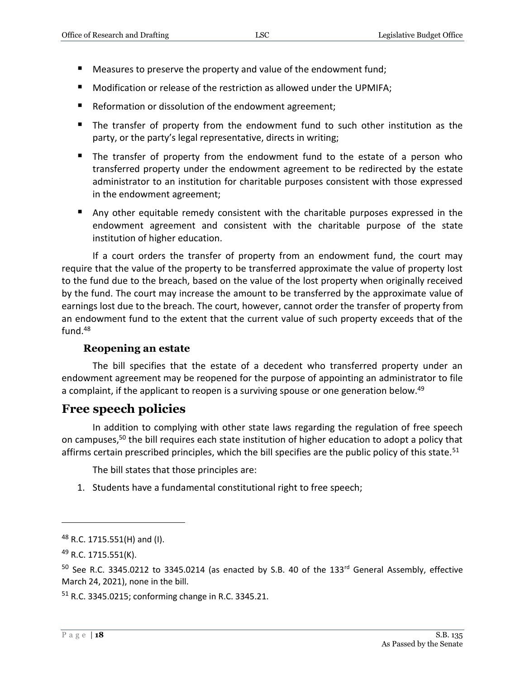- Measures to preserve the property and value of the endowment fund;
- Modification or release of the restriction as allowed under the UPMIFA;
- Reformation or dissolution of the endowment agreement;
- The transfer of property from the endowment fund to such other institution as the party, or the party's legal representative, directs in writing;
- The transfer of property from the endowment fund to the estate of a person who transferred property under the endowment agreement to be redirected by the estate administrator to an institution for charitable purposes consistent with those expressed in the endowment agreement;
- Any other equitable remedy consistent with the charitable purposes expressed in the endowment agreement and consistent with the charitable purpose of the state institution of higher education.

If a court orders the transfer of property from an endowment fund, the court may require that the value of the property to be transferred approximate the value of property lost to the fund due to the breach, based on the value of the lost property when originally received by the fund. The court may increase the amount to be transferred by the approximate value of earnings lost due to the breach. The court, however, cannot order the transfer of property from an endowment fund to the extent that the current value of such property exceeds that of the fund.<sup>48</sup>

### **Reopening an estate**

<span id="page-17-0"></span>The bill specifies that the estate of a decedent who transferred property under an endowment agreement may be reopened for the purpose of appointing an administrator to file a complaint, if the applicant to reopen is a surviving spouse or one generation below.<sup>49</sup>

# <span id="page-17-1"></span>**Free speech policies**

In addition to complying with other state laws regarding the regulation of free speech on campuses, <sup>50</sup> the bill requires each state institution of higher education to adopt a policy that affirms certain prescribed principles, which the bill specifies are the public policy of this state.<sup>51</sup>

The bill states that those principles are:

1. Students have a fundamental constitutional right to free speech;

<sup>51</sup> R.C. 3345.0215; conforming change in R.C. 3345.21.

 $48$  R.C. 1715.551(H) and (I).

<sup>49</sup> R.C. 1715.551(K).

 $50$  See R.C. 3345.0212 to 3345.0214 (as enacted by S.B. 40 of the 133<sup>rd</sup> General Assembly, effective March 24, 2021), none in the bill.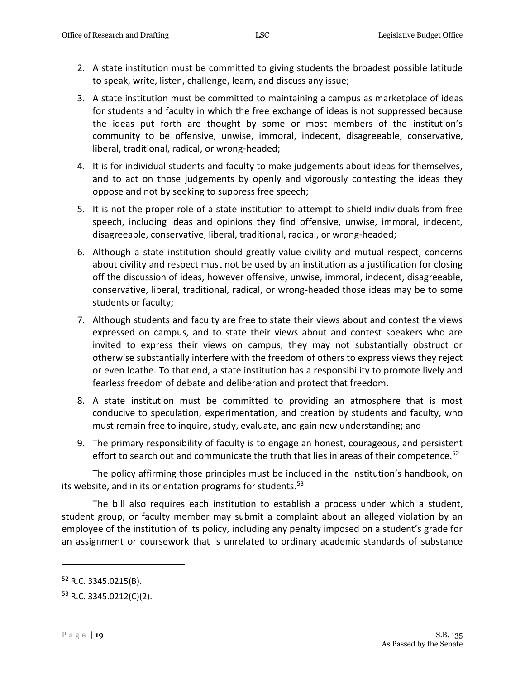- 2. A state institution must be committed to giving students the broadest possible latitude to speak, write, listen, challenge, learn, and discuss any issue;
- 3. A state institution must be committed to maintaining a campus as marketplace of ideas for students and faculty in which the free exchange of ideas is not suppressed because the ideas put forth are thought by some or most members of the institution's community to be offensive, unwise, immoral, indecent, disagreeable, conservative, liberal, traditional, radical, or wrong-headed;
- 4. It is for individual students and faculty to make judgements about ideas for themselves, and to act on those judgements by openly and vigorously contesting the ideas they oppose and not by seeking to suppress free speech;
- 5. It is not the proper role of a state institution to attempt to shield individuals from free speech, including ideas and opinions they find offensive, unwise, immoral, indecent, disagreeable, conservative, liberal, traditional, radical, or wrong-headed;
- 6. Although a state institution should greatly value civility and mutual respect, concerns about civility and respect must not be used by an institution as a justification for closing off the discussion of ideas, however offensive, unwise, immoral, indecent, disagreeable, conservative, liberal, traditional, radical, or wrong-headed those ideas may be to some students or faculty;
- 7. Although students and faculty are free to state their views about and contest the views expressed on campus, and to state their views about and contest speakers who are invited to express their views on campus, they may not substantially obstruct or otherwise substantially interfere with the freedom of others to express views they reject or even loathe. To that end, a state institution has a responsibility to promote lively and fearless freedom of debate and deliberation and protect that freedom.
- 8. A state institution must be committed to providing an atmosphere that is most conducive to speculation, experimentation, and creation by students and faculty, who must remain free to inquire, study, evaluate, and gain new understanding; and
- 9. The primary responsibility of faculty is to engage an honest, courageous, and persistent effort to search out and communicate the truth that lies in areas of their competence.<sup>52</sup>

The policy affirming those principles must be included in the institution's handbook, on its website, and in its orientation programs for students.<sup>53</sup>

The bill also requires each institution to establish a process under which a student, student group, or faculty member may submit a complaint about an alleged violation by an employee of the institution of its policy, including any penalty imposed on a student's grade for an assignment or coursework that is unrelated to ordinary academic standards of substance

<sup>52</sup> R.C. 3345.0215(B).

 $53$  R.C. 3345.0212(C)(2).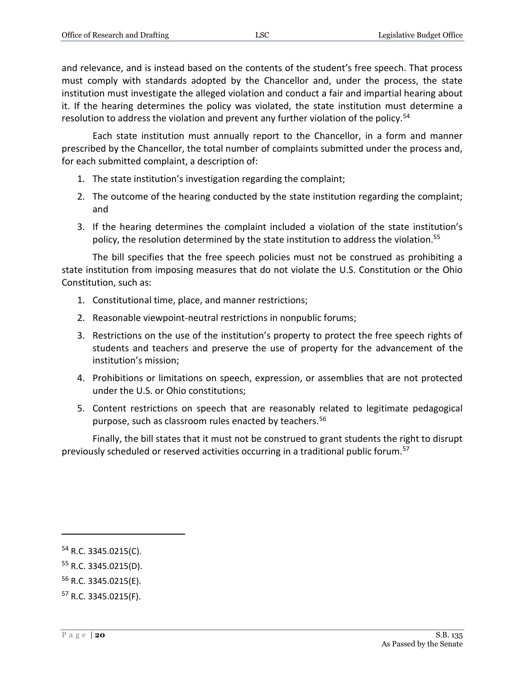and relevance, and is instead based on the contents of the student's free speech. That process must comply with standards adopted by the Chancellor and, under the process, the state institution must investigate the alleged violation and conduct a fair and impartial hearing about it. If the hearing determines the policy was violated, the state institution must determine a resolution to address the violation and prevent any further violation of the policy.<sup>54</sup>

Each state institution must annually report to the Chancellor, in a form and manner prescribed by the Chancellor, the total number of complaints submitted under the process and, for each submitted complaint, a description of:

- 1. The state institution's investigation regarding the complaint;
- 2. The outcome of the hearing conducted by the state institution regarding the complaint; and
- 3. If the hearing determines the complaint included a violation of the state institution's policy, the resolution determined by the state institution to address the violation.<sup>55</sup>

The bill specifies that the free speech policies must not be construed as prohibiting a state institution from imposing measures that do not violate the U.S. Constitution or the Ohio Constitution, such as:

- 1. Constitutional time, place, and manner restrictions;
- 2. Reasonable viewpoint-neutral restrictions in nonpublic forums;
- 3. Restrictions on the use of the institution's property to protect the free speech rights of students and teachers and preserve the use of property for the advancement of the institution's mission;
- 4. Prohibitions or limitations on speech, expression, or assemblies that are not protected under the U.S. or Ohio constitutions;
- 5. Content restrictions on speech that are reasonably related to legitimate pedagogical purpose, such as classroom rules enacted by teachers.<sup>56</sup>

Finally, the bill states that it must not be construed to grant students the right to disrupt previously scheduled or reserved activities occurring in a traditional public forum.<sup>57</sup>

<sup>54</sup> R.C. 3345.0215(C).

<sup>55</sup> R.C. 3345.0215(D).

<sup>56</sup> R.C. 3345.0215(E).

<sup>57</sup> R.C. 3345.0215(F).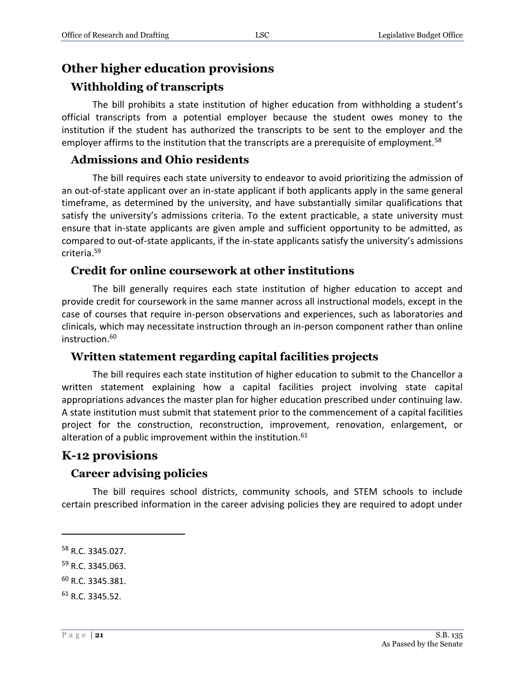### <span id="page-20-0"></span>**Other higher education provisions**

### <span id="page-20-1"></span>**Withholding of transcripts**

The bill prohibits a state institution of higher education from withholding a student's official transcripts from a potential employer because the student owes money to the institution if the student has authorized the transcripts to be sent to the employer and the employer affirms to the institution that the transcripts are a prerequisite of employment.<sup>58</sup>

### <span id="page-20-2"></span>**Admissions and Ohio residents**

The bill requires each state university to endeavor to avoid prioritizing the admission of an out-of-state applicant over an in-state applicant if both applicants apply in the same general timeframe, as determined by the university, and have substantially similar qualifications that satisfy the university's admissions criteria. To the extent practicable, a state university must ensure that in-state applicants are given ample and sufficient opportunity to be admitted, as compared to out-of-state applicants, if the in-state applicants satisfy the university's admissions criteria.<sup>59</sup>

### <span id="page-20-3"></span>**Credit for online coursework at other institutions**

The bill generally requires each state institution of higher education to accept and provide credit for coursework in the same manner across all instructional models, except in the case of courses that require in-person observations and experiences, such as laboratories and clinicals, which may necessitate instruction through an in-person component rather than online instruction.<sup>60</sup>

### <span id="page-20-4"></span>**Written statement regarding capital facilities projects**

The bill requires each state institution of higher education to submit to the Chancellor a written statement explaining how a capital facilities project involving state capital appropriations advances the master plan for higher education prescribed under continuing law. A state institution must submit that statement prior to the commencement of a capital facilities project for the construction, reconstruction, improvement, renovation, enlargement, or alteration of a public improvement within the institution.<sup>61</sup>

### <span id="page-20-5"></span>**K-12 provisions**

### <span id="page-20-6"></span>**Career advising policies**

The bill requires school districts, community schools, and STEM schools to include certain prescribed information in the career advising policies they are required to adopt under

 $\overline{a}$ 

<sup>59</sup> R.C. 3345.063.

<sup>58</sup> R.C. 3345.027.

<sup>60</sup> R.C. 3345.381.

 $61$  R.C. 3345.52.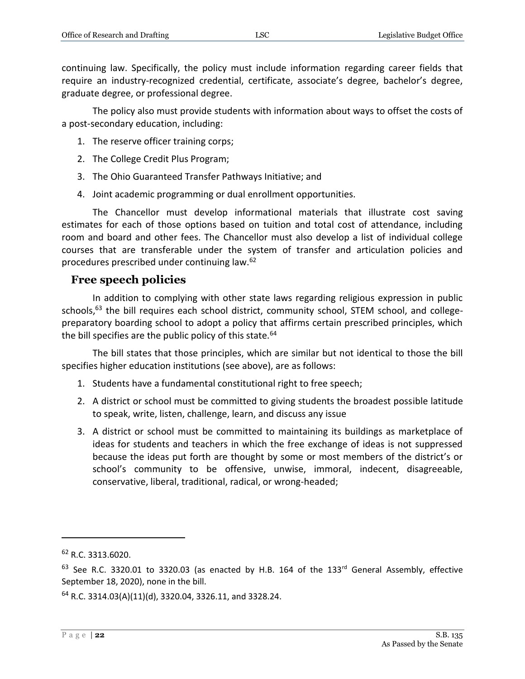continuing law. Specifically, the policy must include information regarding career fields that require an industry-recognized credential, certificate, associate's degree, bachelor's degree, graduate degree, or professional degree.

The policy also must provide students with information about ways to offset the costs of a post-secondary education, including:

- 1. The reserve officer training corps;
- 2. The College Credit Plus Program;
- 3. The Ohio Guaranteed Transfer Pathways Initiative; and
- 4. Joint academic programming or dual enrollment opportunities.

The Chancellor must develop informational materials that illustrate cost saving estimates for each of those options based on tuition and total cost of attendance, including room and board and other fees. The Chancellor must also develop a list of individual college courses that are transferable under the system of transfer and articulation policies and procedures prescribed under continuing law.<sup>62</sup>

### <span id="page-21-0"></span>**Free speech policies**

In addition to complying with other state laws regarding religious expression in public schools, $^{63}$  the bill requires each school district, community school, STEM school, and collegepreparatory boarding school to adopt a policy that affirms certain prescribed principles, which the bill specifies are the public policy of this state.  $64$ 

The bill states that those principles, which are similar but not identical to those the bill specifies higher education institutions (see above), are as follows:

- 1. Students have a fundamental constitutional right to free speech;
- 2. A district or school must be committed to giving students the broadest possible latitude to speak, write, listen, challenge, learn, and discuss any issue
- 3. A district or school must be committed to maintaining its buildings as marketplace of ideas for students and teachers in which the free exchange of ideas is not suppressed because the ideas put forth are thought by some or most members of the district's or school's community to be offensive, unwise, immoral, indecent, disagreeable, conservative, liberal, traditional, radical, or wrong-headed;

 $62$  R.C. 3313.6020.

 $63$  See R.C. 3320.01 to 3320.03 (as enacted by H.B. 164 of the 133<sup>rd</sup> General Assembly, effective September 18, 2020), none in the bill.

 $64$  R.C. 3314.03(A)(11)(d), 3320.04, 3326.11, and 3328.24.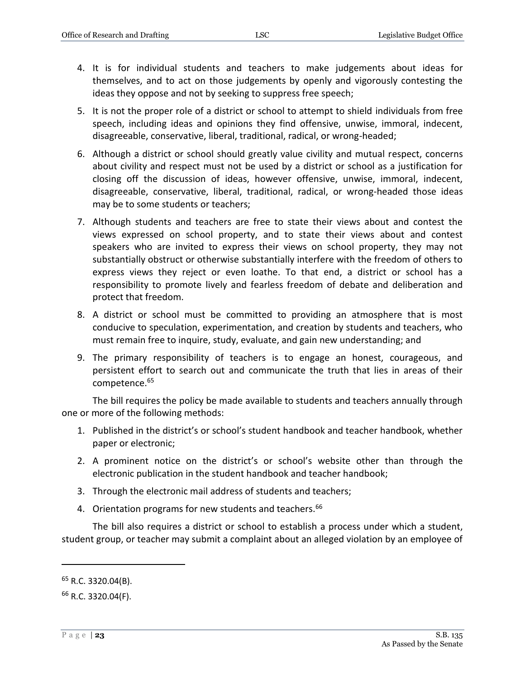- 4. It is for individual students and teachers to make judgements about ideas for themselves, and to act on those judgements by openly and vigorously contesting the ideas they oppose and not by seeking to suppress free speech;
- 5. It is not the proper role of a district or school to attempt to shield individuals from free speech, including ideas and opinions they find offensive, unwise, immoral, indecent, disagreeable, conservative, liberal, traditional, radical, or wrong-headed;
- 6. Although a district or school should greatly value civility and mutual respect, concerns about civility and respect must not be used by a district or school as a justification for closing off the discussion of ideas, however offensive, unwise, immoral, indecent, disagreeable, conservative, liberal, traditional, radical, or wrong-headed those ideas may be to some students or teachers;
- 7. Although students and teachers are free to state their views about and contest the views expressed on school property, and to state their views about and contest speakers who are invited to express their views on school property, they may not substantially obstruct or otherwise substantially interfere with the freedom of others to express views they reject or even loathe. To that end, a district or school has a responsibility to promote lively and fearless freedom of debate and deliberation and protect that freedom.
- 8. A district or school must be committed to providing an atmosphere that is most conducive to speculation, experimentation, and creation by students and teachers, who must remain free to inquire, study, evaluate, and gain new understanding; and
- 9. The primary responsibility of teachers is to engage an honest, courageous, and persistent effort to search out and communicate the truth that lies in areas of their competence.<sup>65</sup>

The bill requires the policy be made available to students and teachers annually through one or more of the following methods:

- 1. Published in the district's or school's student handbook and teacher handbook, whether paper or electronic;
- 2. A prominent notice on the district's or school's website other than through the electronic publication in the student handbook and teacher handbook;
- 3. Through the electronic mail address of students and teachers;
- 4. Orientation programs for new students and teachers.<sup>66</sup>

The bill also requires a district or school to establish a process under which a student, student group, or teacher may submit a complaint about an alleged violation by an employee of

<sup>65</sup> R.C. 3320.04(B).

<sup>66</sup> R.C. 3320.04(F).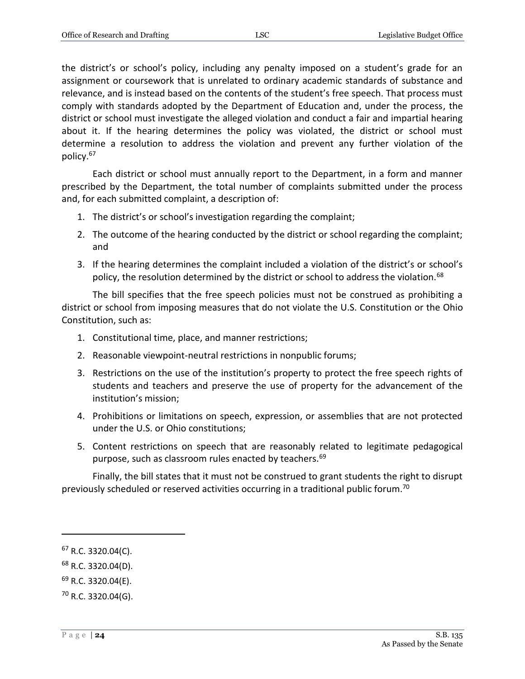the district's or school's policy, including any penalty imposed on a student's grade for an assignment or coursework that is unrelated to ordinary academic standards of substance and relevance, and is instead based on the contents of the student's free speech. That process must comply with standards adopted by the Department of Education and, under the process, the district or school must investigate the alleged violation and conduct a fair and impartial hearing about it. If the hearing determines the policy was violated, the district or school must determine a resolution to address the violation and prevent any further violation of the policy.<sup>67</sup>

Each district or school must annually report to the Department, in a form and manner prescribed by the Department, the total number of complaints submitted under the process and, for each submitted complaint, a description of:

- 1. The district's or school's investigation regarding the complaint;
- 2. The outcome of the hearing conducted by the district or school regarding the complaint; and
- 3. If the hearing determines the complaint included a violation of the district's or school's policy, the resolution determined by the district or school to address the violation.<sup>68</sup>

The bill specifies that the free speech policies must not be construed as prohibiting a district or school from imposing measures that do not violate the U.S. Constitution or the Ohio Constitution, such as:

- 1. Constitutional time, place, and manner restrictions;
- 2. Reasonable viewpoint-neutral restrictions in nonpublic forums;
- 3. Restrictions on the use of the institution's property to protect the free speech rights of students and teachers and preserve the use of property for the advancement of the institution's mission;
- 4. Prohibitions or limitations on speech, expression, or assemblies that are not protected under the U.S. or Ohio constitutions;
- 5. Content restrictions on speech that are reasonably related to legitimate pedagogical purpose, such as classroom rules enacted by teachers.<sup>69</sup>

Finally, the bill states that it must not be construed to grant students the right to disrupt previously scheduled or reserved activities occurring in a traditional public forum.<sup>70</sup>

 $\overline{a}$ 

 $^{69}$  R.C. 3320.04(E).

 $67$  R.C. 3320.04(C).

<sup>68</sup> R.C. 3320.04(D).

<sup>70</sup> R.C. 3320.04(G).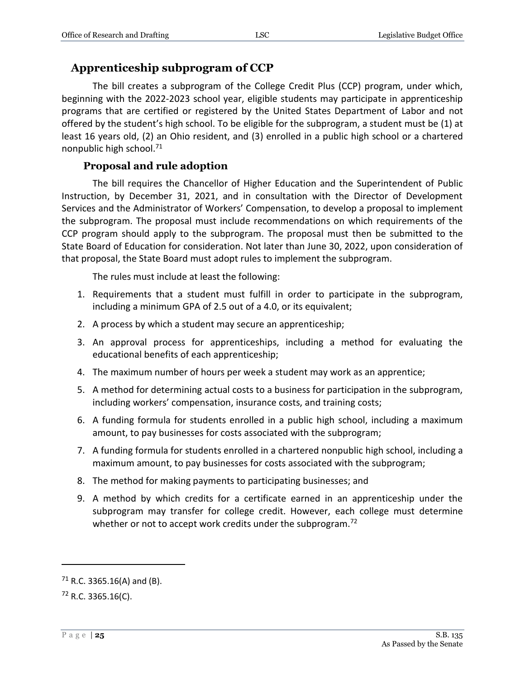### <span id="page-24-0"></span>**Apprenticeship subprogram of CCP**

The bill creates a subprogram of the College Credit Plus (CCP) program, under which, beginning with the 2022-2023 school year, eligible students may participate in apprenticeship programs that are certified or registered by the United States Department of Labor and not offered by the student's high school. To be eligible for the subprogram, a student must be (1) at least 16 years old, (2) an Ohio resident, and (3) enrolled in a public high school or a chartered nonpublic high school.<sup>71</sup>

### **Proposal and rule adoption**

<span id="page-24-1"></span>The bill requires the Chancellor of Higher Education and the Superintendent of Public Instruction, by December 31, 2021, and in consultation with the Director of Development Services and the Administrator of Workers' Compensation, to develop a proposal to implement the subprogram. The proposal must include recommendations on which requirements of the CCP program should apply to the subprogram. The proposal must then be submitted to the State Board of Education for consideration. Not later than June 30, 2022, upon consideration of that proposal, the State Board must adopt rules to implement the subprogram.

The rules must include at least the following:

- 1. Requirements that a student must fulfill in order to participate in the subprogram, including a minimum GPA of 2.5 out of a 4.0, or its equivalent;
- 2. A process by which a student may secure an apprenticeship;
- 3. An approval process for apprenticeships, including a method for evaluating the educational benefits of each apprenticeship;
- 4. The maximum number of hours per week a student may work as an apprentice;
- 5. A method for determining actual costs to a business for participation in the subprogram, including workers' compensation, insurance costs, and training costs;
- 6. A funding formula for students enrolled in a public high school, including a maximum amount, to pay businesses for costs associated with the subprogram;
- 7. A funding formula for students enrolled in a chartered nonpublic high school, including a maximum amount, to pay businesses for costs associated with the subprogram;
- 8. The method for making payments to participating businesses; and
- 9. A method by which credits for a certificate earned in an apprenticeship under the subprogram may transfer for college credit. However, each college must determine whether or not to accept work credits under the subprogram.<sup>72</sup>

 $71$  R.C. 3365.16(A) and (B).

 $72$  R.C. 3365.16(C).